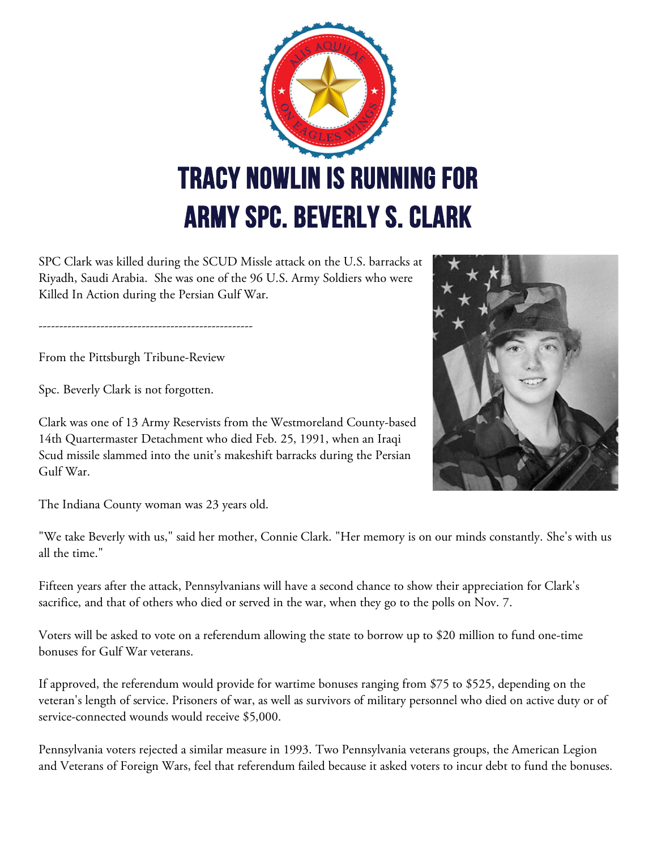

SPC Clark was killed during the SCUD Missle attack on the U.S. barracks at Riyadh, Saudi Arabia. She was one of the 96 U.S. Army Soldiers who were Killed In Action during the Persian Gulf War.

----------------------------------------------------

From the Pittsburgh Tribune-Review

Spc. Beverly Clark is not forgotten.

Clark was one of 13 Army Reservists from the Westmoreland County-based 14th Quartermaster Detachment who died Feb. 25, 1991, when an Iraqi Scud missile slammed into the unit's makeshift barracks during the Persian Gulf War.



The Indiana County woman was 23 years old.

"We take Beverly with us," said her mother, Connie Clark. "Her memory is on our minds constantly. She's with us all the time."

Fifteen years after the attack, Pennsylvanians will have a second chance to show their appreciation for Clark's sacrifice, and that of others who died or served in the war, when they go to the polls on Nov. 7.

Voters will be asked to vote on a referendum allowing the state to borrow up to \$20 million to fund one-time bonuses for Gulf War veterans.

If approved, the referendum would provide for wartime bonuses ranging from \$75 to \$525, depending on the veteran's length of service. Prisoners of war, as well as survivors of military personnel who died on active duty or of service-connected wounds would receive \$5,000.

Pennsylvania voters rejected a similar measure in 1993. Two Pennsylvania veterans groups, the American Legion and Veterans of Foreign Wars, feel that referendum failed because it asked voters to incur debt to fund the bonuses.